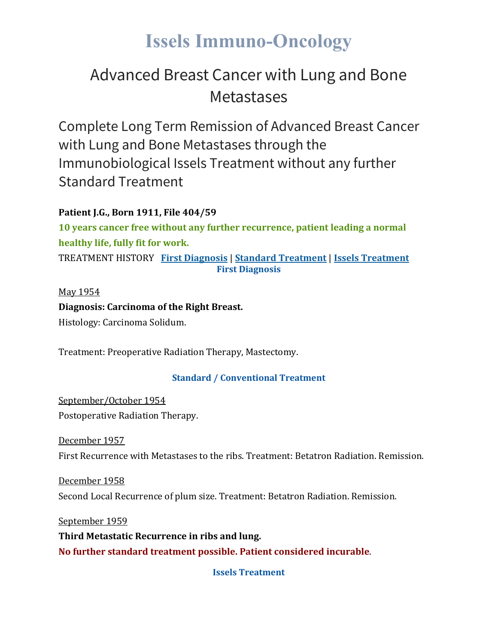## **Issels Immuno-Oncology**

### Advanced Breast Cancer with Lung and Bone **Metastases**

Complete Long Term Remission of Advanced Breast Cancer with Lung and Bone Metastases through the Immunobiological Issels Treatment without any further Standard Treatment

#### **Patient J.G., Born 1911, File 404/59**

**10 years cancer free without any further recurrence, patient leading a normal healthy life, fully fit for work.**

TREATMENT HISTORY **First [Diagnosis](https://issels.com/cancer-cases/lung-4-advanced-breast-cancer-with-lung-and-bone-metastases/#First)** | **Standard [Treatment](https://issels.com/cancer-cases/lung-4-advanced-breast-cancer-with-lung-and-bone-metastases/#Standard)** | **Issels [Treatment](https://issels.com/cancer-cases/lung-4-advanced-breast-cancer-with-lung-and-bone-metastases/#Issels) First Diagnosis**

#### May 1954

**Diagnosis: Carcinoma of the Right Breast.** Histology: Carcinoma Solidum.

Treatment: Preoperative Radiation Therapy, Mastectomy.

#### **Standard / Conventional Treatment**

September/October 1954 Postoperative Radiation Therapy.

December 1957 First Recurrence with Metastases to the ribs. Treatment: Betatron Radiation. Remission.

December 1958 Second Local Recurrence of plum size. Treatment: Betatron Radiation. Remission.

September 1959 **Third Metastatic Recurrence in ribs and lung. No further standard treatment possible. Patient considered incurable**.

**Issels Treatment**